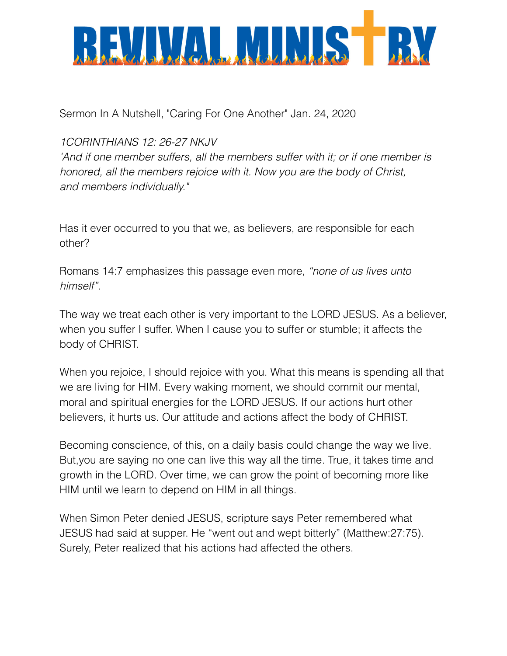

Sermon In A Nutshell, "Caring For One Another" Jan. 24, 2020

*1CORINTHIANS 12: 26-27 NKJV*

*'And if one member suffers, all the members suffer with it; or if one member is honored, all the members rejoice with it. Now you are the body of Christ, and members individually."*

Has it ever occurred to you that we, as believers, are responsible for each other?

Romans 14:7 emphasizes this passage even more, *"none of us lives unto himself".*

The way we treat each other is very important to the LORD JESUS. As a believer, when you suffer I suffer. When I cause you to suffer or stumble; it affects the body of CHRIST.

When you rejoice, I should rejoice with you. What this means is spending all that we are living for HIM. Every waking moment, we should commit our mental, moral and spiritual energies for the LORD JESUS. If our actions hurt other believers, it hurts us. Our attitude and actions affect the body of CHRIST.

Becoming conscience, of this, on a daily basis could change the way we live. But,you are saying no one can live this way all the time. True, it takes time and growth in the LORD. Over time, we can grow the point of becoming more like HIM until we learn to depend on HIM in all things.

When Simon Peter denied JESUS, scripture says Peter remembered what JESUS had said at supper. He "went out and wept bitterly" (Matthew:27:75). Surely, Peter realized that his actions had affected the others.